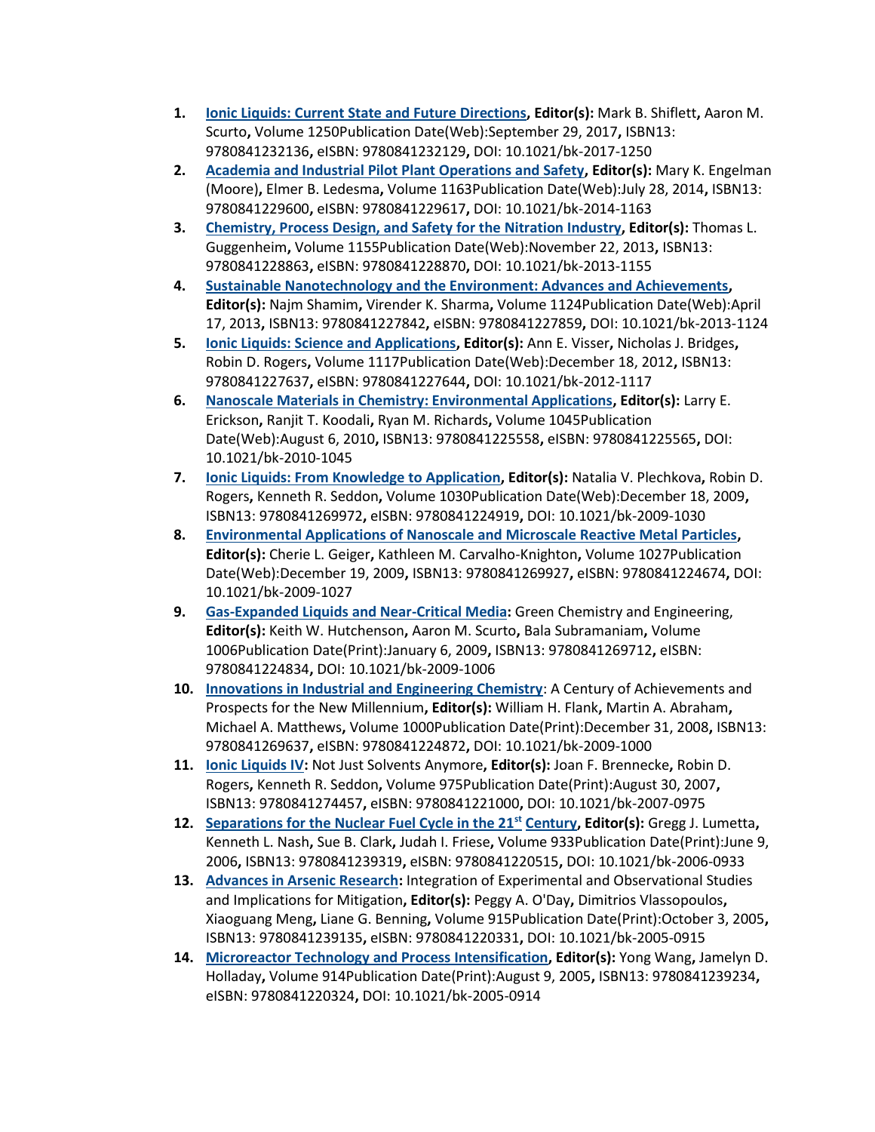- **1. [Ionic Liquids: Current State and Future Directions,](https://pubs.acs.org/isbn/9780841232136) Editor(s):** Mark B. Shiflett**,** Aaron M. Scurto**,** Volume 1250Publication Date(Web):September 29, 2017**,** ISBN13: 9780841232136**,** eISBN: 9780841232129**,** DOI: 10.1021/bk-2017-1250
- **2. [Academia and Industrial Pilot Plant Operations and Safety,](https://pubs.acs.org/isbn/9780841229600) Editor(s):** Mary K. Engelman (Moore)**,** Elmer B. Ledesma**,** Volume 1163Publication Date(Web):July 28, 2014**,** ISBN13: 9780841229600**,** eISBN: 9780841229617**,** DOI: 10.1021/bk-2014-1163
- **3. [Chemistry, Process Design, and Safety for the Nitration Industry,](https://pubs.acs.org/isbn/9780841228863) Editor(s):** Thomas L. Guggenheim**,** Volume 1155Publication Date(Web):November 22, 2013**,** ISBN13: 9780841228863**,** eISBN: 9780841228870**,** DOI: 10.1021/bk-2013-1155
- **4. [Sustainable Nanotechnology and the Environment: Advances and Achievements,](https://pubs.acs.org/isbn/9780841227842) Editor(s):** Najm Shamim**,** Virender K. Sharma**,** Volume 1124Publication Date(Web):April 17, 2013**,** ISBN13: 9780841227842**,** eISBN: 9780841227859**,** DOI: 10.1021/bk-2013-1124
- **5. [Ionic Liquids: Science and Applications,](https://pubs.acs.org/isbn/9780841227637) Editor(s):** Ann E. Visser**,** Nicholas J. Bridges**,**  Robin D. Rogers**,** Volume 1117Publication Date(Web):December 18, 2012**,** ISBN13: 9780841227637**,** eISBN: 9780841227644**,** DOI: 10.1021/bk-2012-1117
- **6. [Nanoscale Materials in Chemistry: Environmental Applications,](https://pubs.acs.org/isbn/9780841225558) Editor(s):** Larry E. Erickson**,** Ranjit T. Koodali**,** Ryan M. Richards**,** Volume 1045Publication Date(Web):August 6, 2010**,** ISBN13: 9780841225558**,** eISBN: 9780841225565**,** DOI: 10.1021/bk-2010-1045
- **7. [Ionic Liquids: From Knowledge to Application,](https://pubs.acs.org/isbn/9780841269972) Editor(s):** Natalia V. Plechkova**,** Robin D. Rogers**,** Kenneth R. Seddon**,** Volume 1030Publication Date(Web):December 18, 2009**,**  ISBN13: 9780841269972**,** eISBN: 9780841224919**,** DOI: 10.1021/bk-2009-1030
- **8. [Environmental Applications of Nanoscale and Microscale Reactive Metal Particles,](https://pubs.acs.org/isbn/9780841269927) Editor(s):** Cherie L. Geiger**,** Kathleen M. Carvalho-Knighton**,** Volume 1027Publication Date(Web):December 19, 2009**,** ISBN13: 9780841269927**,** eISBN: 9780841224674**,** DOI: 10.1021/bk-2009-1027
- **9. [Gas-Expanded Liquids and Near-Critical Media:](https://pubs.acs.org/isbn/9780841269712)** Green Chemistry and Engineering, **Editor(s):** Keith W. Hutchenson**,** Aaron M. Scurto**,** Bala Subramaniam**,** Volume 1006Publication Date(Print):January 6, 2009**,** ISBN13: 9780841269712**,** eISBN: 9780841224834**,** DOI: 10.1021/bk-2009-1006
- **10. [Innovations in Industrial and Engineering Chemistry](https://pubs.acs.org/isbn/9780841269637)**: A Century of Achievements and Prospects for the New Millennium**, Editor(s):** William H. Flank**,** Martin A. Abraham**,**  Michael A. Matthews**,** Volume 1000Publication Date(Print):December 31, 2008**,** ISBN13: 9780841269637**,** eISBN: 9780841224872**,** DOI: 10.1021/bk-2009-1000
- **11. [Ionic Liquids IV:](https://pubs.acs.org/isbn/9780841274457)** Not Just Solvents Anymore**, Editor(s):** Joan F. Brennecke**,** Robin D. Rogers**,** Kenneth R. Seddon**,** Volume 975Publication Date(Print):August 30, 2007**,**  ISBN13: 9780841274457**,** eISBN: 9780841221000**,** DOI: 10.1021/bk-2007-0975
- **12. [Separations for the Nuclear Fuel Cycle in the 21](https://pubs.acs.org/isbn/9780841239319)st Century, Editor(s):** Gregg J. Lumetta**,**  Kenneth L. Nash**,** Sue B. Clark**,** Judah I. Friese**,** Volume 933Publication Date(Print):June 9, 2006**,** ISBN13: 9780841239319**,** eISBN: 9780841220515**,** DOI: 10.1021/bk-2006-0933
- **13. [Advances in Arsenic Research:](https://pubs.acs.org/isbn/9780841239135)** Integration of Experimental and Observational Studies and Implications for Mitigation**, Editor(s):** Peggy A. O'Day**,** Dimitrios Vlassopoulos**,**  Xiaoguang Meng**,** Liane G. Benning**,** Volume 915Publication Date(Print):October 3, 2005**,**  ISBN13: 9780841239135**,** eISBN: 9780841220331**,** DOI: 10.1021/bk-2005-0915
- **14. [Microreactor Technology and Process Intensification,](https://pubs.acs.org/isbn/9780841239234) Editor(s):** Yong Wang**,** Jamelyn D. Holladay**,** Volume 914Publication Date(Print):August 9, 2005**,** ISBN13: 9780841239234**,**  eISBN: 9780841220324**,** DOI: 10.1021/bk-2005-0914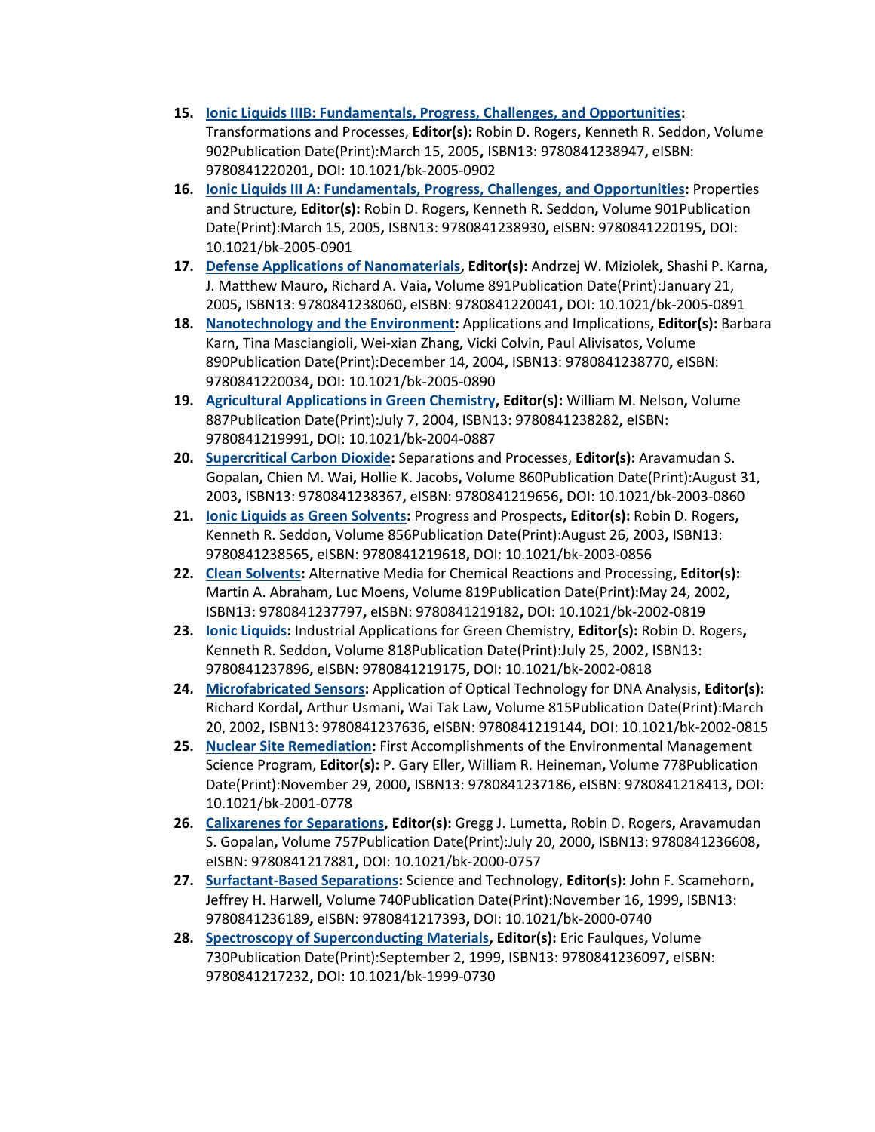- **15. [Ionic Liquids IIIB: Fundamentals, Progress, Challenges, and Opportunities:](https://pubs.acs.org/isbn/9780841238947)** Transformations and Processes, **Editor(s):** Robin D. Rogers**,** Kenneth R. Seddon**,** Volume 902Publication Date(Print):March 15, 2005**,** ISBN13: 9780841238947**,** eISBN: 9780841220201**,** DOI: 10.1021/bk-2005-0902
- **16. [Ionic Liquids III A: Fundamentals, Progress, Challenges, and Opportunities:](https://pubs.acs.org/isbn/9780841238930)** Properties and Structure, **Editor(s):** Robin D. Rogers**,** Kenneth R. Seddon**,** Volume 901Publication Date(Print):March 15, 2005**,** ISBN13: 9780841238930**,** eISBN: 9780841220195**,** DOI: 10.1021/bk-2005-0901
- **17. [Defense Applications of Nanomaterials,](https://pubs.acs.org/isbn/9780841238060) Editor(s):** Andrzej W. Miziolek**,** Shashi P. Karna**,**  J. Matthew Mauro**,** Richard A. Vaia**,** Volume 891Publication Date(Print):January 21, 2005**,** ISBN13: 9780841238060**,** eISBN: 9780841220041**,** DOI: 10.1021/bk-2005-0891
- **18. [Nanotechnology and the Environment:](https://pubs.acs.org/isbn/9780841238770)** Applications and Implications**, Editor(s):** Barbara Karn**,** Tina Masciangioli**,** Wei-xian Zhang**,** Vicki Colvin**,** Paul Alivisatos**,** Volume 890Publication Date(Print):December 14, 2004**,** ISBN13: 9780841238770**,** eISBN: 9780841220034**,** DOI: 10.1021/bk-2005-0890
- **19. [Agricultural Applications in Green Chemistry,](https://pubs.acs.org/isbn/9780841238282) Editor(s):** William M. Nelson**,** Volume 887Publication Date(Print):July 7, 2004**,** ISBN13: 9780841238282**,** eISBN: 9780841219991**,** DOI: 10.1021/bk-2004-0887
- **20. [Supercritical Carbon Dioxide:](https://pubs.acs.org/isbn/9780841238367)** Separations and Processes, **Editor(s):** Aravamudan S. Gopalan**,** Chien M. Wai**,** Hollie K. Jacobs**,** Volume 860Publication Date(Print):August 31, 2003**,** ISBN13: 9780841238367**,** eISBN: 9780841219656**,** DOI: 10.1021/bk-2003-0860
- **21. [Ionic Liquids as Green Solvents:](https://pubs.acs.org/isbn/9780841238565)** Progress and Prospects**, Editor(s):** Robin D. Rogers**,**  Kenneth R. Seddon**,** Volume 856Publication Date(Print):August 26, 2003**,** ISBN13: 9780841238565**,** eISBN: 9780841219618**,** DOI: 10.1021/bk-2003-0856
- **22. [Clean Solvents:](https://pubs.acs.org/isbn/9780841237797)** Alternative Media for Chemical Reactions and Processing**, Editor(s):** Martin A. Abraham**,** Luc Moens**,** Volume 819Publication Date(Print):May 24, 2002**,**  ISBN13: 9780841237797**,** eISBN: 9780841219182**,** DOI: 10.1021/bk-2002-0819
- **23. [Ionic Liquids:](https://pubs.acs.org/isbn/9780841237896)** Industrial Applications for Green Chemistry, **Editor(s):** Robin D. Rogers**,**  Kenneth R. Seddon**,** Volume 818Publication Date(Print):July 25, 2002**,** ISBN13: 9780841237896**,** eISBN: 9780841219175**,** DOI: 10.1021/bk-2002-0818
- **24. [Microfabricated Sensors:](https://pubs.acs.org/isbn/9780841237636)** Application of Optical Technology for DNA Analysis, **Editor(s):** Richard Kordal**,** Arthur Usmani**,** Wai Tak Law**,** Volume 815Publication Date(Print):March 20, 2002**,** ISBN13: 9780841237636**,** eISBN: 9780841219144**,** DOI: 10.1021/bk-2002-0815
- **25. [Nuclear Site Remediation:](https://pubs.acs.org/isbn/9780841237186)** First Accomplishments of the Environmental Management Science Program, **Editor(s):** P. Gary Eller**,** William R. Heineman**,** Volume 778Publication Date(Print):November 29, 2000**,** ISBN13: 9780841237186**,** eISBN: 9780841218413**,** DOI: 10.1021/bk-2001-0778
- **26. [Calixarenes for Separations,](https://pubs.acs.org/isbn/9780841236608) Editor(s):** Gregg J. Lumetta**,** Robin D. Rogers**,** Aravamudan S. Gopalan**,** Volume 757Publication Date(Print):July 20, 2000**,** ISBN13: 9780841236608**,**  eISBN: 9780841217881**,** DOI: 10.1021/bk-2000-0757
- **27. [Surfactant-Based Separations:](https://pubs.acs.org/isbn/9780841236189)** Science and Technology, **Editor(s):** John F. Scamehorn**,**  Jeffrey H. Harwell**,** Volume 740Publication Date(Print):November 16, 1999**,** ISBN13: 9780841236189**,** eISBN: 9780841217393**,** DOI: 10.1021/bk-2000-0740
- **28. [Spectroscopy of Superconducting Materials,](https://pubs.acs.org/isbn/9780841236097) Editor(s):** Eric Faulques**,** Volume 730Publication Date(Print):September 2, 1999**,** ISBN13: 9780841236097**,** eISBN: 9780841217232**,** DOI: 10.1021/bk-1999-0730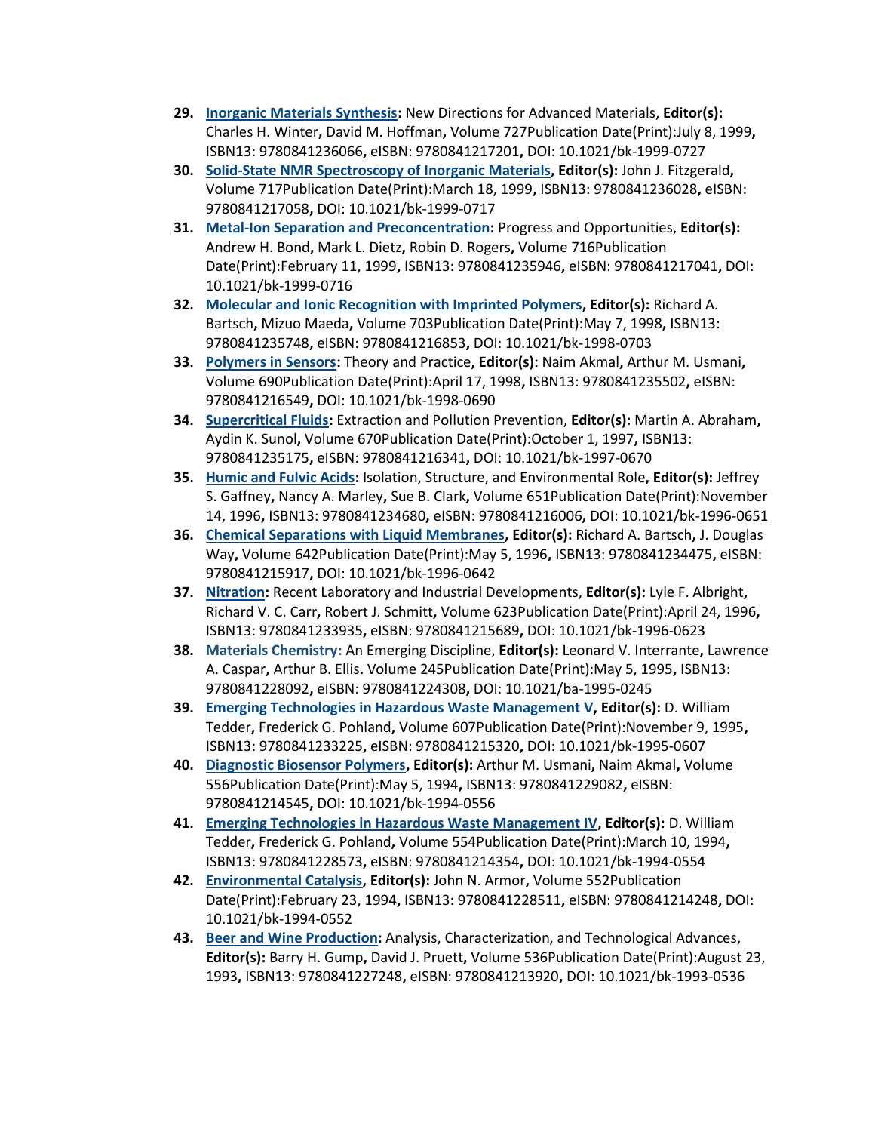- **29. [Inorganic Materials Synthesis:](https://pubs.acs.org/isbn/9780841236066)** New Directions for Advanced Materials, **Editor(s):** Charles H. Winter**,** David M. Hoffman**,** Volume 727Publication Date(Print):July 8, 1999**,**  ISBN13: 9780841236066**,** eISBN: 9780841217201**,** DOI: 10.1021/bk-1999-0727
- **30. [Solid-State NMR Spectroscopy of Inorganic Materials,](https://pubs.acs.org/isbn/9780841236028) Editor(s):** John J. Fitzgerald**,**  Volume 717Publication Date(Print):March 18, 1999**,** ISBN13: 9780841236028**,** eISBN: 9780841217058**,** DOI: 10.1021/bk-1999-0717
- **31. [Metal-Ion Separation and Preconcentration:](https://pubs.acs.org/isbn/9780841235946)** Progress and Opportunities, **Editor(s):** Andrew H. Bond**,** Mark L. Dietz**,** Robin D. Rogers**,** Volume 716Publication Date(Print):February 11, 1999**,** ISBN13: 9780841235946**,** eISBN: 9780841217041**,** DOI: 10.1021/bk-1999-0716
- **32. [Molecular and Ionic Recognition with Imprinted Polymers,](https://pubs.acs.org/isbn/9780841235748) Editor(s):** Richard A. Bartsch**,** Mizuo Maeda**,** Volume 703Publication Date(Print):May 7, 1998**,** ISBN13: 9780841235748**,** eISBN: 9780841216853**,** DOI: 10.1021/bk-1998-0703
- **33. [Polymers in Sensors:](https://pubs.acs.org/isbn/9780841235502)** Theory and Practice**, Editor(s):** Naim Akmal**,** Arthur M. Usmani**,**  Volume 690Publication Date(Print):April 17, 1998**,** ISBN13: 9780841235502**,** eISBN: 9780841216549**,** DOI: 10.1021/bk-1998-0690
- **34. [Supercritical Fluids:](https://pubs.acs.org/isbn/9780841235175)** Extraction and Pollution Prevention, **Editor(s):** Martin A. Abraham**,**  Aydin K. Sunol**,** Volume 670Publication Date(Print):October 1, 1997**,** ISBN13: 9780841235175**,** eISBN: 9780841216341**,** DOI: 10.1021/bk-1997-0670
- **35. [Humic and Fulvic Acids:](https://pubs.acs.org/isbn/9780841234680)** Isolation, Structure, and Environmental Role**, Editor(s):** Jeffrey S. Gaffney**,** Nancy A. Marley**,** Sue B. Clark**,** Volume 651Publication Date(Print):November 14, 1996**,** ISBN13: 9780841234680**,** eISBN: 9780841216006**,** DOI: 10.1021/bk-1996-0651
- **36. [Chemical Separations with Liquid Membranes,](https://pubs.acs.org/isbn/9780841234475) Editor(s):** Richard A. Bartsch**,** J. Douglas Way**,** Volume 642Publication Date(Print):May 5, 1996**,** ISBN13: 9780841234475**,** eISBN: 9780841215917**,** DOI: 10.1021/bk-1996-0642
- **37. [Nitration:](https://pubs.acs.org/isbn/9780841233935)** Recent Laboratory and Industrial Developments, **Editor(s):** Lyle F. Albright**,**  Richard V. C. Carr**,** Robert J. Schmitt**,** Volume 623Publication Date(Print):April 24, 1996**,**  ISBN13: 9780841233935**,** eISBN: 9780841215689**,** DOI: 10.1021/bk-1996-0623
- **38. [Materials Chemistry:](https://pubs.acs.org/isbn/9780841228092)** An Emerging Discipline, **Editor(s):** Leonard V. Interrante**,** Lawrence A. Caspar**,** Arthur B. Ellis**.** Volume 245Publication Date(Print):May 5, 1995**,** ISBN13: 9780841228092**,** eISBN: 9780841224308**,** DOI: 10.1021/ba-1995-0245
- **39. [Emerging Technologies in Hazardous Waste Management V,](https://pubs.acs.org/isbn/9780841233225) Editor(s):** D. William Tedder**,** Frederick G. Pohland**,** Volume 607Publication Date(Print):November 9, 1995**,**  ISBN13: 9780841233225**,** eISBN: 9780841215320**,** DOI: 10.1021/bk-1995-0607
- **40. [Diagnostic Biosensor Polymers,](https://pubs.acs.org/isbn/9780841229082) Editor(s):** Arthur M. Usmani**,** Naim Akmal**,** Volume 556Publication Date(Print):May 5, 1994**,** ISBN13: 9780841229082**,** eISBN: 9780841214545**,** DOI: 10.1021/bk-1994-0556
- **41. [Emerging Technologies in Hazardous Waste Management IV,](https://pubs.acs.org/isbn/9780841228573) Editor(s):** D. William Tedder**,** Frederick G. Pohland**,** Volume 554Publication Date(Print):March 10, 1994**,**  ISBN13: 9780841228573**,** eISBN: 9780841214354**,** DOI: 10.1021/bk-1994-0554
- **42. [Environmental Catalysis,](https://pubs.acs.org/isbn/9780841228511) Editor(s):** John N. Armor**,** Volume 552Publication Date(Print):February 23, 1994**,** ISBN13: 9780841228511**,** eISBN: 9780841214248**,** DOI: 10.1021/bk-1994-0552
- **43. [Beer and Wine Production:](https://pubs.acs.org/isbn/9780841227248)** Analysis, Characterization, and Technological Advances, **Editor(s):** Barry H. Gump**,** David J. Pruett**,** Volume 536Publication Date(Print):August 23, 1993**,** ISBN13: 9780841227248**,** eISBN: 9780841213920**,** DOI: 10.1021/bk-1993-0536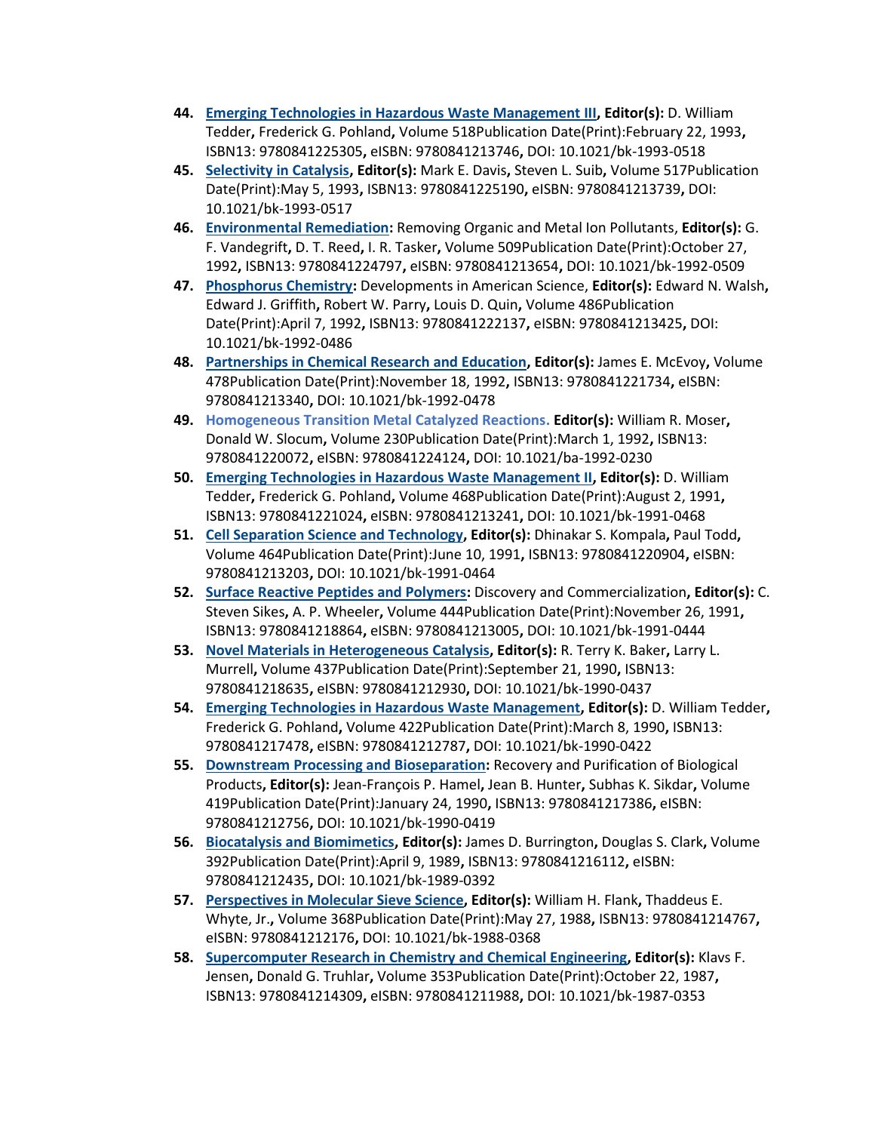- **44. [Emerging Technologies in Hazardous Waste Management III,](https://pubs.acs.org/isbn/9780841225305) Editor(s):** D. William Tedder**,** Frederick G. Pohland**,** Volume 518Publication Date(Print):February 22, 1993**,**  ISBN13: 9780841225305**,** eISBN: 9780841213746**,** DOI: 10.1021/bk-1993-0518
- **45. [Selectivity in Catalysis,](https://pubs.acs.org/isbn/9780841225190) Editor(s):** Mark E. Davis**,** Steven L. Suib**,** Volume 517Publication Date(Print):May 5, 1993**,** ISBN13: 9780841225190**,** eISBN: 9780841213739**,** DOI: 10.1021/bk-1993-0517
- **46. [Environmental Remediation:](https://pubs.acs.org/isbn/9780841224797)** Removing Organic and Metal Ion Pollutants, **Editor(s):** G. F. Vandegrift**,** D. T. Reed**,** I. R. Tasker**,** Volume 509Publication Date(Print):October 27, 1992**,** ISBN13: 9780841224797**,** eISBN: 9780841213654**,** DOI: 10.1021/bk-1992-0509
- **47. [Phosphorus Chemistry:](https://pubs.acs.org/isbn/9780841222137)** Developments in American Science, **Editor(s):** Edward N. Walsh**,**  Edward J. Griffith**,** Robert W. Parry**,** Louis D. Quin**,** Volume 486Publication Date(Print):April 7, 1992**,** ISBN13: 9780841222137**,** eISBN: 9780841213425**,** DOI: 10.1021/bk-1992-0486
- **48. [Partnerships in Chemical Research and Education,](https://pubs.acs.org/isbn/9780841221734) Editor(s):** James E. McEvoy**,** Volume 478Publication Date(Print):November 18, 1992**,** ISBN13: 9780841221734**,** eISBN: 9780841213340**,** DOI: 10.1021/bk-1992-0478
- **49. [Homogeneous Transition Metal Catalyzed Reactions.](https://pubs.acs.org/isbn/9780841220072) Editor(s):** William R. Moser**,**  Donald W. Slocum**,** Volume 230Publication Date(Print):March 1, 1992**,** ISBN13: 9780841220072**,** eISBN: 9780841224124**,** DOI: 10.1021/ba-1992-0230
- **50. [Emerging Technologies in Hazardous Waste Management II,](https://pubs.acs.org/isbn/9780841221024) Editor(s):** D. William Tedder**,** Frederick G. Pohland**,** Volume 468Publication Date(Print):August 2, 1991**,**  ISBN13: 9780841221024**,** eISBN: 9780841213241**,** DOI: 10.1021/bk-1991-0468
- **51. [Cell Separation Science and Technology,](https://pubs.acs.org/isbn/9780841220904) Editor(s):** Dhinakar S. Kompala**,** Paul Todd**,**  Volume 464Publication Date(Print):June 10, 1991**,** ISBN13: 9780841220904**,** eISBN: 9780841213203**,** DOI: 10.1021/bk-1991-0464
- **52. [Surface Reactive Peptides and Polymers:](https://pubs.acs.org/isbn/9780841218864)** Discovery and Commercialization**, Editor(s):** C. Steven Sikes**,** A. P. Wheeler**,** Volume 444Publication Date(Print):November 26, 1991**,**  ISBN13: 9780841218864**,** eISBN: 9780841213005**,** DOI: 10.1021/bk-1991-0444
- **53. [Novel Materials in Heterogeneous Catalysis,](https://pubs.acs.org/isbn/9780841218635) Editor(s):** R. Terry K. Baker**,** Larry L. Murrell**,** Volume 437Publication Date(Print):September 21, 1990**,** ISBN13: 9780841218635**,** eISBN: 9780841212930**,** DOI: 10.1021/bk-1990-0437
- **54. [Emerging Technologies in Hazardous Waste Management,](https://pubs.acs.org/isbn/9780841217478) Editor(s):** D. William Tedder**,**  Frederick G. Pohland**,** Volume 422Publication Date(Print):March 8, 1990**,** ISBN13: 9780841217478**,** eISBN: 9780841212787**,** DOI: 10.1021/bk-1990-0422
- **55. [Downstream Processing and Bioseparation:](https://pubs.acs.org/isbn/9780841217386)** Recovery and Purification of Biological Products**, Editor(s):** Jean-François P. Hamel**,** Jean B. Hunter**,** Subhas K. Sikdar**,** Volume 419Publication Date(Print):January 24, 1990**,** ISBN13: 9780841217386**,** eISBN: 9780841212756**,** DOI: 10.1021/bk-1990-0419
- **56. [Biocatalysis and Biomimetics,](https://pubs.acs.org/isbn/9780841216112) Editor(s):** James D. Burrington**,** Douglas S. Clark**,** Volume 392Publication Date(Print):April 9, 1989**,** ISBN13: 9780841216112**,** eISBN: 9780841212435**,** DOI: 10.1021/bk-1989-0392
- **57. [Perspectives in Molecular Sieve Science,](https://pubs.acs.org/isbn/9780841214767) Editor(s):** William H. Flank**,** Thaddeus E. Whyte, Jr.**,** Volume 368Publication Date(Print):May 27, 1988**,** ISBN13: 9780841214767**,**  eISBN: 9780841212176**,** DOI: 10.1021/bk-1988-0368
- **58. [Supercomputer Research in Chemistry and Chemical Engineering,](https://pubs.acs.org/isbn/9780841214309) Editor(s):** Klavs F. Jensen**,** Donald G. Truhlar**,** Volume 353Publication Date(Print):October 22, 1987**,**  ISBN13: 9780841214309**,** eISBN: 9780841211988**,** DOI: 10.1021/bk-1987-0353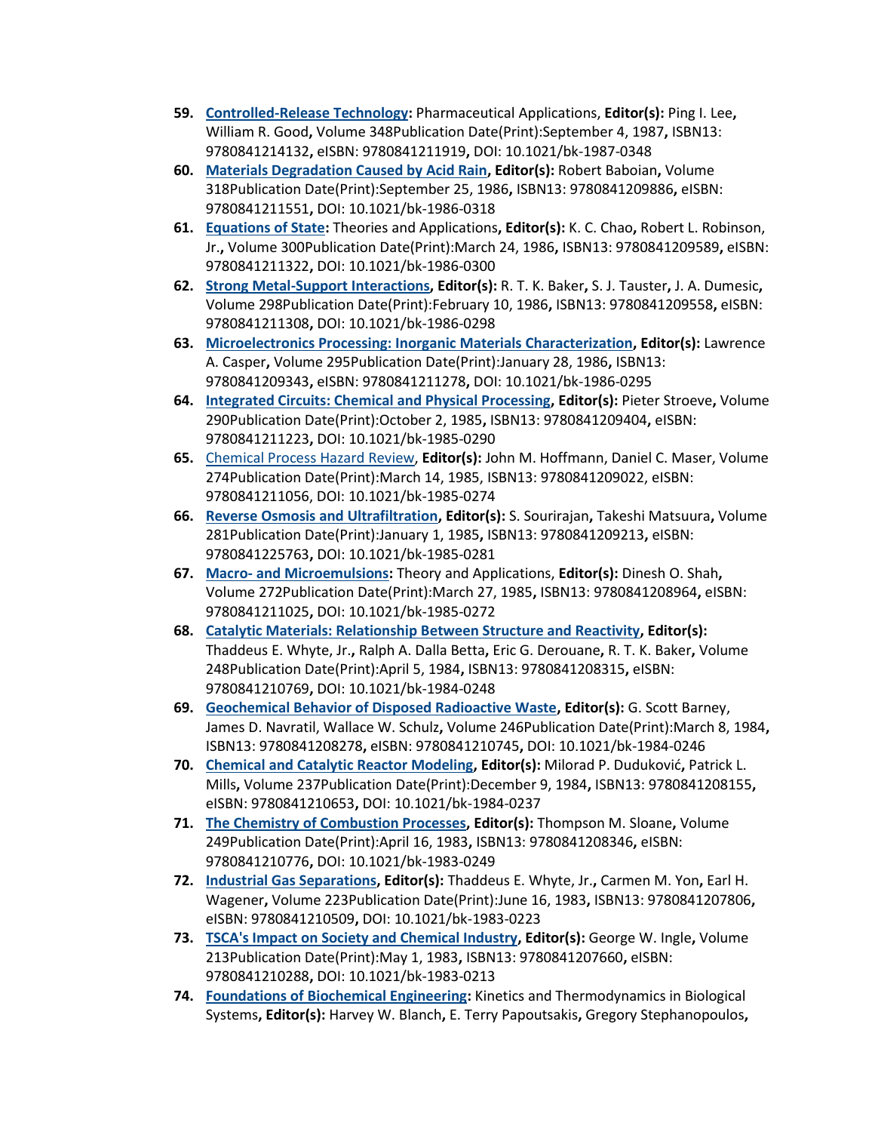- **59. [Controlled-Release Technology:](https://pubs.acs.org/isbn/9780841214132)** Pharmaceutical Applications, **Editor(s):** Ping I. Lee**,**  William R. Good**,** Volume 348Publication Date(Print):September 4, 1987**,** ISBN13: 9780841214132**,** eISBN: 9780841211919**,** DOI: 10.1021/bk-1987-0348
- **60. [Materials Degradation Caused by Acid Rain,](https://pubs.acs.org/isbn/9780841209886) Editor(s):** Robert Baboian**,** Volume 318Publication Date(Print):September 25, 1986**,** ISBN13: 9780841209886**,** eISBN: 9780841211551**,** DOI: 10.1021/bk-1986-0318
- **61. [Equations of State:](https://pubs.acs.org/isbn/9780841209589)** Theories and Applications**, Editor(s):** K. C. Chao**,** Robert L. Robinson, Jr.**,** Volume 300Publication Date(Print):March 24, 1986**,** ISBN13: 9780841209589**,** eISBN: 9780841211322**,** DOI: 10.1021/bk-1986-0300
- **62. [Strong Metal-Support Interactions,](https://pubs.acs.org/isbn/9780841209558) Editor(s):** R. T. K. Baker**,** S. J. Tauster**,** J. A. Dumesic**,**  Volume 298Publication Date(Print):February 10, 1986**,** ISBN13: 9780841209558**,** eISBN: 9780841211308**,** DOI: 10.1021/bk-1986-0298
- **63. [Microelectronics Processing: Inorganic Materials Characterization,](https://pubs.acs.org/isbn/9780841209343) Editor(s):** Lawrence A. Casper**,** Volume 295Publication Date(Print):January 28, 1986**,** ISBN13: 9780841209343**,** eISBN: 9780841211278**,** DOI: 10.1021/bk-1986-0295
- **64. [Integrated Circuits: Chemical and Physical Processing,](https://pubs.acs.org/isbn/9780841209404) Editor(s):** Pieter Stroeve**,** Volume 290Publication Date(Print):October 2, 1985**,** ISBN13: 9780841209404**,** eISBN: 9780841211223**,** DOI: 10.1021/bk-1985-0290
- **65.** [Chemical Process Hazard Review,](https://pubs.acs.org/isbn/9780841209022) **Editor(s):** John M. Hoffmann, Daniel C. Maser, Volume 274Publication Date(Print):March 14, 1985, ISBN13: 9780841209022, eISBN: 9780841211056, DOI: 10.1021/bk-1985-0274
- **66. [Reverse Osmosis and Ultrafiltration,](https://pubs.acs.org/isbn/9780841209213) Editor(s):** S. Sourirajan**,** Takeshi Matsuura**,** Volume 281Publication Date(Print):January 1, 1985**,** ISBN13: 9780841209213**,** eISBN: 9780841225763**,** DOI: 10.1021/bk-1985-0281
- **67. Macro- [and Microemulsions:](https://pubs.acs.org/isbn/9780841208964)** Theory and Applications, **Editor(s):** Dinesh O. Shah**,**  Volume 272Publication Date(Print):March 27, 1985**,** ISBN13: 9780841208964**,** eISBN: 9780841211025**,** DOI: 10.1021/bk-1985-0272
- **68. [Catalytic Materials: Relationship Between Structure and Reactivity,](https://pubs.acs.org/isbn/9780841208315) Editor(s):** Thaddeus E. Whyte, Jr.**,** Ralph A. Dalla Betta**,** Eric G. Derouane**,** R. T. K. Baker**,** Volume 248Publication Date(Print):April 5, 1984**,** ISBN13: 9780841208315**,** eISBN: 9780841210769**,** DOI: 10.1021/bk-1984-0248
- **69. [Geochemical Behavior of Disposed Radioactive Waste,](https://pubs.acs.org/isbn/9780841208278) Editor(s):** G. Scott Barney, James D. Navratil, Wallace W. Schulz**,** Volume 246Publication Date(Print):March 8, 1984**,**  ISBN13: 9780841208278**,** eISBN: 9780841210745**,** DOI: 10.1021/bk-1984-0246
- **70. [Chemical and Catalytic Reactor Modeling,](https://pubs.acs.org/isbn/9780841208155) Editor(s):** Milorad P. Duduković**,** Patrick L. Mills**,** Volume 237Publication Date(Print):December 9, 1984**,** ISBN13: 9780841208155**,**  eISBN: 9780841210653**,** DOI: 10.1021/bk-1984-0237
- **71. [The Chemistry of Combustion Processes,](https://pubs.acs.org/isbn/9780841208346) Editor(s):** Thompson M. Sloane**,** Volume 249Publication Date(Print):April 16, 1983**,** ISBN13: 9780841208346**,** eISBN: 9780841210776**,** DOI: 10.1021/bk-1983-0249
- **72. [Industrial Gas Separations,](https://pubs.acs.org/isbn/9780841207806) Editor(s):** Thaddeus E. Whyte, Jr.**,** Carmen M. Yon**,** Earl H. Wagener**,** Volume 223Publication Date(Print):June 16, 1983**,** ISBN13: 9780841207806**,**  eISBN: 9780841210509**,** DOI: 10.1021/bk-1983-0223
- **73. [TSCA's Impact on Society and Chemical Industry,](https://pubs.acs.org/isbn/9780841207660) Editor(s):** George W. Ingle**,** Volume 213Publication Date(Print):May 1, 1983**,** ISBN13: 9780841207660**,** eISBN: 9780841210288**,** DOI: 10.1021/bk-1983-0213
- **74. [Foundations of Biochemical Engineering:](https://pubs.acs.org/isbn/9780841207523)** Kinetics and Thermodynamics in Biological Systems**, Editor(s):** Harvey W. Blanch**,** E. Terry Papoutsakis**,** Gregory Stephanopoulos**,**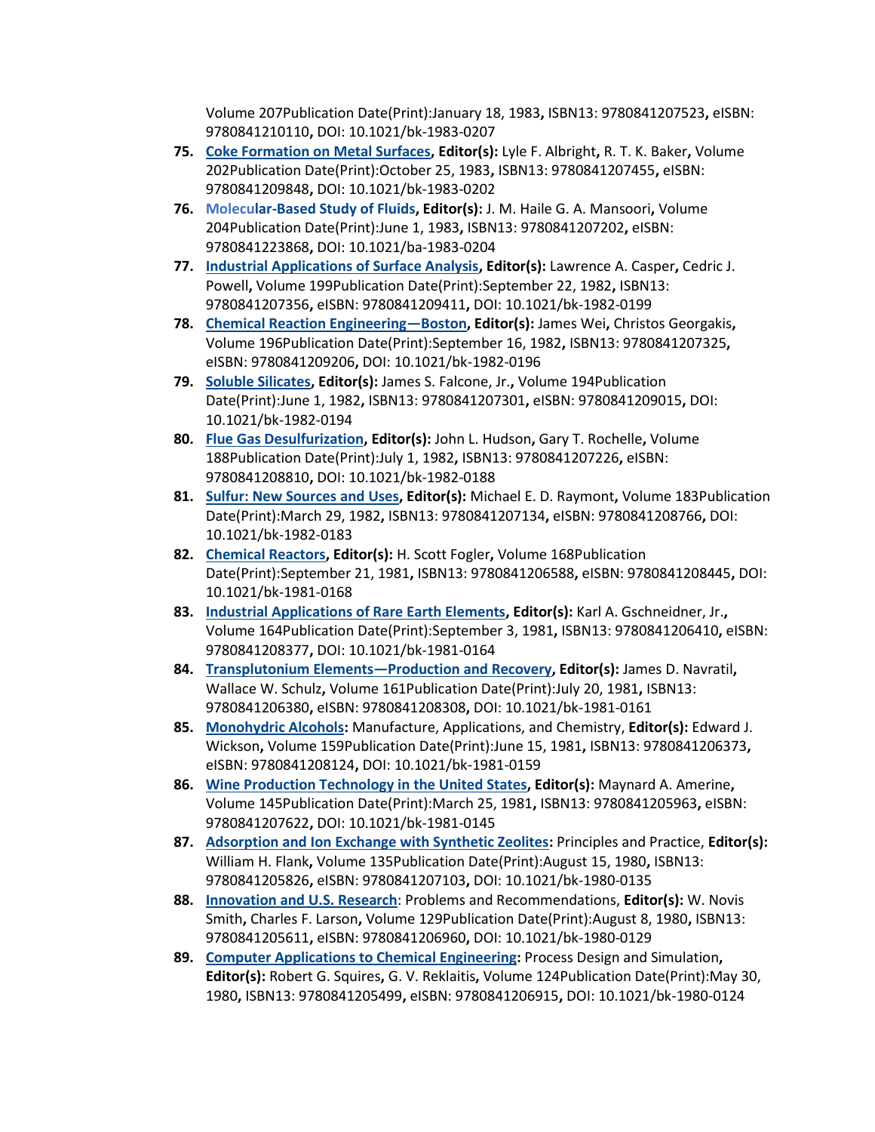Volume 207Publication Date(Print):January 18, 1983**,** ISBN13: 9780841207523**,** eISBN: 9780841210110**,** DOI: 10.1021/bk-1983-0207

- **75. [Coke Formation on Metal Surfaces,](https://pubs.acs.org/isbn/9780841207455) Editor(s):** Lyle F. Albright**,** R. T. K. Baker**,** Volume 202Publication Date(Print):October 25, 1983**,** ISBN13: 9780841207455**,** eISBN: 9780841209848**,** DOI: 10.1021/bk-1983-0202
- **76. [Molecular-Based Study of Fluids,](https://pubs.acs.org/isbn/9780841207202) Editor(s):** J. M. Haile G. A. Mansoori**,** Volume 204Publication Date(Print):June 1, 1983**,** ISBN13: 9780841207202**,** eISBN: 9780841223868**,** DOI: 10.1021/ba-1983-0204
- **77. [Industrial Applications of Surface Analysis,](https://pubs.acs.org/isbn/9780841207356) Editor(s):** Lawrence A. Casper**,** Cedric J. Powell**,** Volume 199Publication Date(Print):September 22, 1982**,** ISBN13: 9780841207356**,** eISBN: 9780841209411**,** DOI: 10.1021/bk-1982-0199
- **78. [Chemical Reaction Engineering](https://pubs.acs.org/isbn/9780841207325)—Boston, Editor(s):** James Wei**,** Christos Georgakis**,**  Volume 196Publication Date(Print):September 16, 1982**,** ISBN13: 9780841207325**,**  eISBN: 9780841209206**,** DOI: 10.1021/bk-1982-0196
- **79. [Soluble Silicates,](https://pubs.acs.org/isbn/9780841207301) Editor(s):** James S. Falcone, Jr.**,** Volume 194Publication Date(Print):June 1, 1982**,** ISBN13: 9780841207301**,** eISBN: 9780841209015**,** DOI: 10.1021/bk-1982-0194
- **80. [Flue Gas Desulfurization,](https://pubs.acs.org/isbn/9780841207226) Editor(s):** John L. Hudson**,** Gary T. Rochelle**,** Volume 188Publication Date(Print):July 1, 1982**,** ISBN13: 9780841207226**,** eISBN: 9780841208810**,** DOI: 10.1021/bk-1982-0188
- **81. [Sulfur: New Sources and Uses,](https://pubs.acs.org/isbn/9780841207134) Editor(s):** Michael E. D. Raymont**,** Volume 183Publication Date(Print):March 29, 1982**,** ISBN13: 9780841207134**,** eISBN: 9780841208766**,** DOI: 10.1021/bk-1982-0183
- **82. [Chemical Reactors,](https://pubs.acs.org/isbn/9780841206588) Editor(s):** H. Scott Fogler**,** Volume 168Publication Date(Print):September 21, 1981**,** ISBN13: 9780841206588**,** eISBN: 9780841208445**,** DOI: 10.1021/bk-1981-0168
- **83. [Industrial Applications of Rare Earth Elements,](https://pubs.acs.org/isbn/9780841206410) Editor(s):** Karl A. Gschneidner, Jr.**,**  Volume 164Publication Date(Print):September 3, 1981**,** ISBN13: 9780841206410**,** eISBN: 9780841208377**,** DOI: 10.1021/bk-1981-0164
- **84. [Transplutonium Elements](https://pubs.acs.org/isbn/9780841206380)—Production and Recovery, Editor(s):** James D. Navratil**,**  Wallace W. Schulz**,** Volume 161Publication Date(Print):July 20, 1981**,** ISBN13: 9780841206380**,** eISBN: 9780841208308**,** DOI: 10.1021/bk-1981-0161
- **85. [Monohydric Alcohols:](https://pubs.acs.org/isbn/9780841206373)** Manufacture, Applications, and Chemistry, **Editor(s):** Edward J. Wickson**,** Volume 159Publication Date(Print):June 15, 1981**,** ISBN13: 9780841206373**,**  eISBN: 9780841208124**,** DOI: 10.1021/bk-1981-0159
- **86. [Wine Production Technology in the United States,](https://pubs.acs.org/isbn/9780841205963) Editor(s):** Maynard A. Amerine**,**  Volume 145Publication Date(Print):March 25, 1981**,** ISBN13: 9780841205963**,** eISBN: 9780841207622**,** DOI: 10.1021/bk-1981-0145
- **87. [Adsorption and Ion Exchange with Synthetic Zeolites:](https://pubs.acs.org/isbn/9780841205826)** Principles and Practice, **Editor(s):** William H. Flank**,** Volume 135Publication Date(Print):August 15, 1980**,** ISBN13: 9780841205826**,** eISBN: 9780841207103**,** DOI: 10.1021/bk-1980-0135
- **88. [Innovation and U.S. Research](https://pubs.acs.org/isbn/9780841205611)**: Problems and Recommendations, **Editor(s):** W. Novis Smith**,** Charles F. Larson**,** Volume 129Publication Date(Print):August 8, 1980**,** ISBN13: 9780841205611**,** eISBN: 9780841206960**,** DOI: 10.1021/bk-1980-0129
- **89. [Computer Applications to Chemical Engineering:](https://pubs.acs.org/isbn/9780841205499)** Process Design and Simulation**, Editor(s):** Robert G. Squires**,** G. V. Reklaitis**,** Volume 124Publication Date(Print):May 30, 1980**,** ISBN13: 9780841205499**,** eISBN: 9780841206915**,** DOI: 10.1021/bk-1980-0124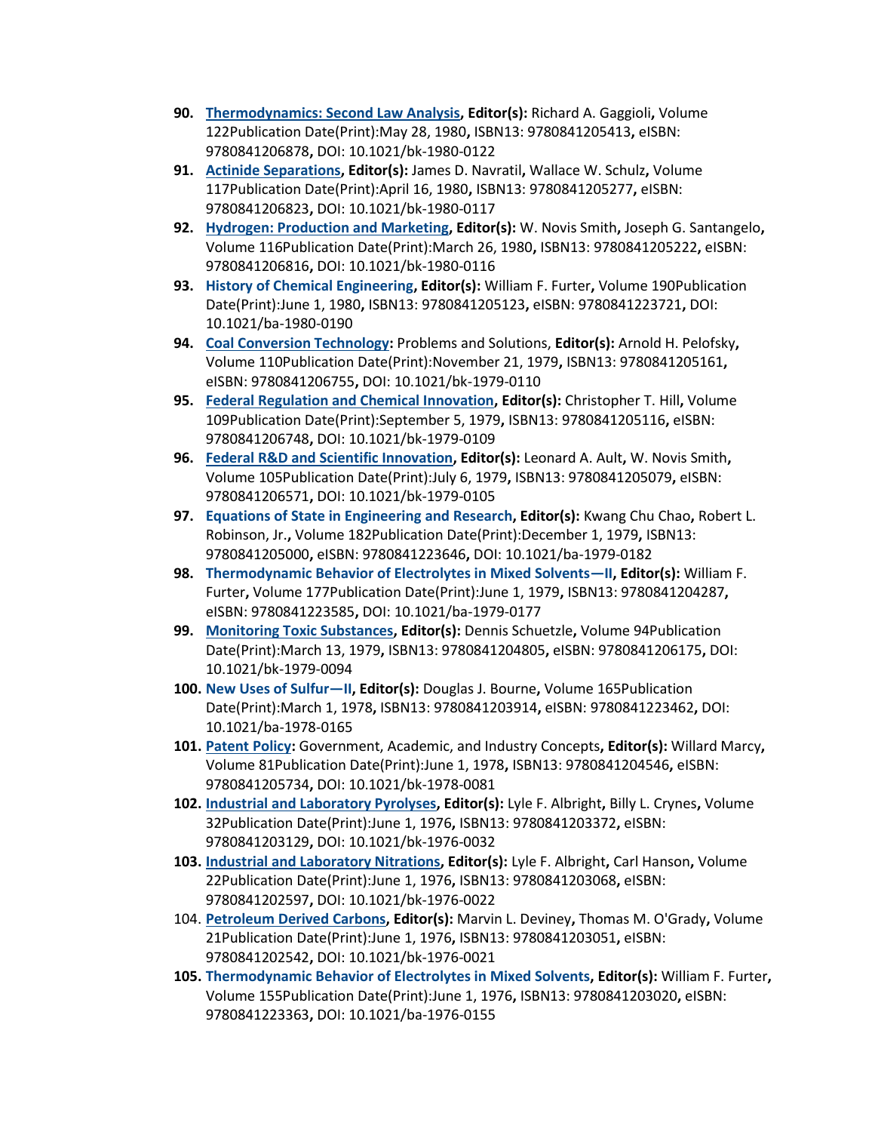- **90. [Thermodynamics: Second Law Analysis,](https://pubs.acs.org/isbn/9780841205413) Editor(s):** Richard A. Gaggioli**,** Volume 122Publication Date(Print):May 28, 1980**,** ISBN13: 9780841205413**,** eISBN: 9780841206878**,** DOI: 10.1021/bk-1980-0122
- **91. [Actinide Separations,](https://pubs.acs.org/isbn/9780841205277) Editor(s):** James D. Navratil**,** Wallace W. Schulz**,** Volume 117Publication Date(Print):April 16, 1980**,** ISBN13: 9780841205277**,** eISBN: 9780841206823**,** DOI: 10.1021/bk-1980-0117
- **92. [Hydrogen: Production and Marketing,](https://pubs.acs.org/isbn/9780841205222) Editor(s):** W. Novis Smith**,** Joseph G. Santangelo**,**  Volume 116Publication Date(Print):March 26, 1980**,** ISBN13: 9780841205222**,** eISBN: 9780841206816**,** DOI: 10.1021/bk-1980-0116
- **93. [History of Chemical Engineering,](https://pubs.acs.org/isbn/9780841205123) Editor(s):** William F. Furter**,** Volume 190Publication Date(Print):June 1, 1980**,** ISBN13: 9780841205123**,** eISBN: 9780841223721**,** DOI: 10.1021/ba-1980-0190
- **94. [Coal Conversion Technology:](https://pubs.acs.org/isbn/9780841205161)** Problems and Solutions, **Editor(s):** Arnold H. Pelofsky**,**  Volume 110Publication Date(Print):November 21, 1979**,** ISBN13: 9780841205161**,**  eISBN: 9780841206755**,** DOI: 10.1021/bk-1979-0110
- **95. [Federal Regulation and Chemical Innovation,](https://pubs.acs.org/isbn/9780841205116) Editor(s):** Christopher T. Hill**,** Volume 109Publication Date(Print):September 5, 1979**,** ISBN13: 9780841205116**,** eISBN: 9780841206748**,** DOI: 10.1021/bk-1979-0109
- **96. [Federal R&D and Scientific Innovation,](https://pubs.acs.org/isbn/9780841205079) Editor(s):** Leonard A. Ault**,** W. Novis Smith**,**  Volume 105Publication Date(Print):July 6, 1979**,** ISBN13: 9780841205079**,** eISBN: 9780841206571**,** DOI: 10.1021/bk-1979-0105
- **97. Equations of [State in Engineering and Research,](https://pubs.acs.org/isbn/9780841205000) Editor(s):** Kwang Chu Chao**,** Robert L. Robinson, Jr.**,** Volume 182Publication Date(Print):December 1, 1979**,** ISBN13: 9780841205000**,** eISBN: 9780841223646**,** DOI: 10.1021/ba-1979-0182
- **98. [Thermodynamic Behavior of Electrolytes in Mixed Solvents](https://pubs.acs.org/isbn/9780841204287)—II, Editor(s):** William F. Furter**,** Volume 177Publication Date(Print):June 1, 1979**,** ISBN13: 9780841204287**,**  eISBN: 9780841223585**,** DOI: 10.1021/ba-1979-0177
- **99. [Monitoring Toxic Substances,](https://pubs.acs.org/isbn/9780841204805) Editor(s):** Dennis Schuetzle**,** Volume 94Publication Date(Print):March 13, 1979**,** ISBN13: 9780841204805**,** eISBN: 9780841206175**,** DOI: 10.1021/bk-1979-0094
- **100. [New Uses of Sulfur](https://pubs.acs.org/isbn/9780841203914)—II, Editor(s):** Douglas J. Bourne**,** Volume 165Publication Date(Print):March 1, 1978**,** ISBN13: 9780841203914**,** eISBN: 9780841223462**,** DOI: 10.1021/ba-1978-0165
- **101. [Patent Policy:](https://pubs.acs.org/isbn/9780841204546)** Government, Academic, and Industry Concepts**, Editor(s):** Willard Marcy**,**  Volume 81Publication Date(Print):June 1, 1978**,** ISBN13: 9780841204546**,** eISBN: 9780841205734**,** DOI: 10.1021/bk-1978-0081
- **102. [Industrial and Laboratory Pyrolyses,](https://pubs.acs.org/isbn/9780841203372) Editor(s):** Lyle F. Albright**,** Billy L. Crynes**,** Volume 32Publication Date(Print):June 1, 1976**,** ISBN13: 9780841203372**,** eISBN: 9780841203129**,** DOI: 10.1021/bk-1976-0032
- **103. [Industrial and Laboratory Nitrations,](https://pubs.acs.org/isbn/9780841203068) Editor(s):** Lyle F. Albright**,** Carl Hanson**,** Volume 22Publication Date(Print):June 1, 1976**,** ISBN13: 9780841203068**,** eISBN: 9780841202597**,** DOI: 10.1021/bk-1976-0022
- 104. **[Petroleum Derived Carbons,](https://pubs.acs.org/isbn/9780841203051) Editor(s):** Marvin L. Deviney**,** Thomas M. O'Grady**,** Volume 21Publication Date(Print):June 1, 1976**,** ISBN13: 9780841203051**,** eISBN: 9780841202542**,** DOI: 10.1021/bk-1976-0021
- **105. [Thermodynamic Behavior of Electrolytes in Mixed Solvents,](https://pubs.acs.org/isbn/9780841203020) Editor(s):** William F. Furter**,**  Volume 155Publication Date(Print):June 1, 1976**,** ISBN13: 9780841203020**,** eISBN: 9780841223363**,** DOI: 10.1021/ba-1976-0155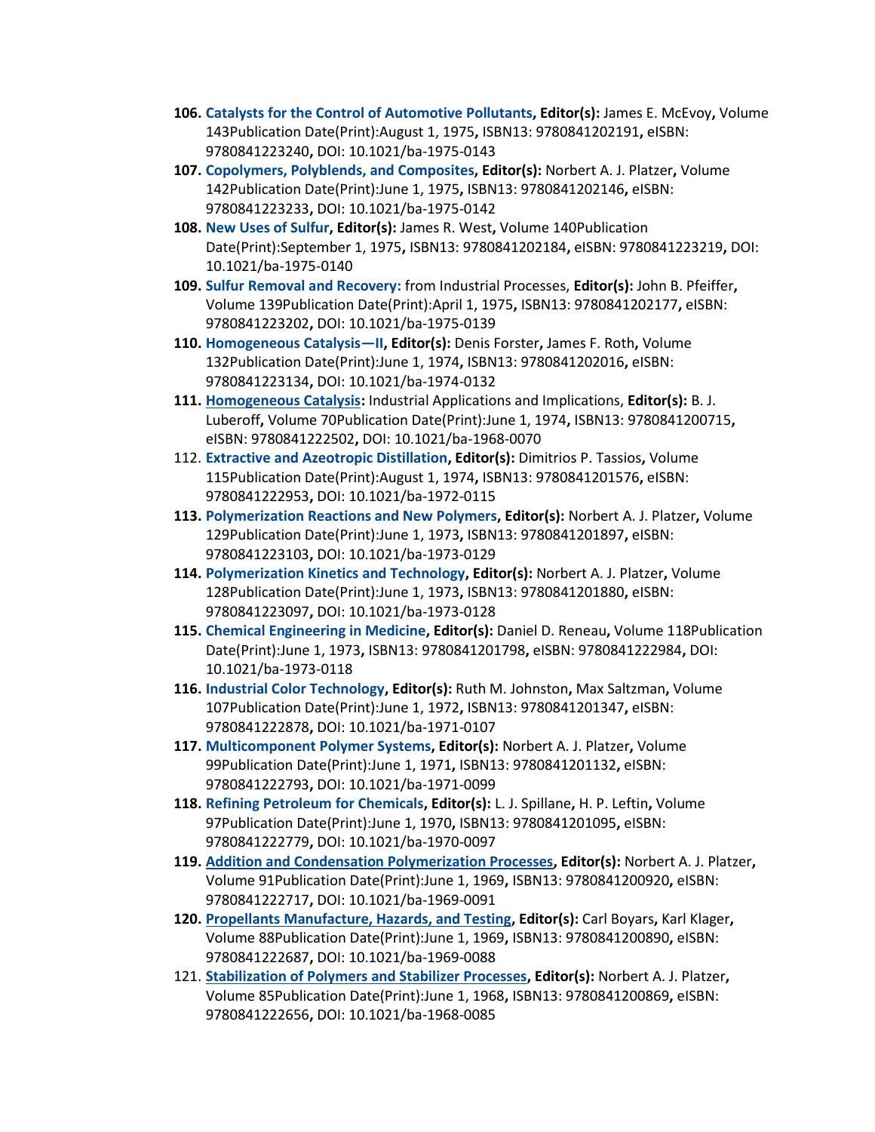- **106. [Catalysts for the Control of Automotive Pollutants,](https://pubs.acs.org/isbn/9780841202191) Editor(s):** James E. McEvoy**,** Volume 143Publication Date(Print):August 1, 1975**,** ISBN13: 9780841202191**,** eISBN: 9780841223240**,** DOI: 10.1021/ba-1975-0143
- **107. [Copolymers, Polyblends, and Composites,](https://pubs.acs.org/isbn/9780841202146) Editor(s):** Norbert A. J. Platzer**,** Volume 142Publication Date(Print):June 1, 1975**,** ISBN13: 9780841202146**,** eISBN: 9780841223233**,** DOI: 10.1021/ba-1975-0142
- **108. [New Uses of Sulfur,](https://pubs.acs.org/isbn/9780841202184) Editor(s):** James R. West**,** Volume 140Publication Date(Print):September 1, 1975**,** ISBN13: 9780841202184**,** eISBN: 9780841223219**,** DOI: 10.1021/ba-1975-0140
- **109. [Sulfur Removal and Recovery:](https://pubs.acs.org/isbn/9780841202177)** from Industrial Processes, **Editor(s):** John B. Pfeiffer**,**  Volume 139Publication Date(Print):April 1, 1975**,** ISBN13: 9780841202177**,** eISBN: 9780841223202**,** DOI: 10.1021/ba-1975-0139
- **110. [Homogeneous Catalysis](https://pubs.acs.org/isbn/9780841202016)—II, Editor(s):** Denis Forster**,** James F. Roth**,** Volume 132Publication Date(Print):June 1, 1974**,** ISBN13: 9780841202016**,** eISBN: 9780841223134**,** DOI: 10.1021/ba-1974-0132
- **111. [Homogeneous Catalysis:](https://pubs.acs.org/isbn/9780841200715)** Industrial Applications and Implications, **Editor(s):** B. J. Luberoff**,** Volume 70Publication Date(Print):June 1, 1974**,** ISBN13: 9780841200715**,**  eISBN: 9780841222502**,** DOI: 10.1021/ba-1968-0070
- 112. **[Extractive and Azeotropic Distillation,](https://pubs.acs.org/isbn/9780841201576) Editor(s):** Dimitrios P. Tassios**,** Volume 115Publication Date(Print):August 1, 1974**,** ISBN13: 9780841201576**,** eISBN: 9780841222953**,** DOI: 10.1021/ba-1972-0115
- **113. [Polymerization Reactions and New Polymers,](https://pubs.acs.org/isbn/9780841201897) Editor(s):** Norbert A. J. Platzer**,** Volume 129Publication Date(Print):June 1, 1973**,** ISBN13: 9780841201897**,** eISBN: 9780841223103**,** DOI: 10.1021/ba-1973-0129
- **114. [Polymerization Kinetics and Technology,](https://pubs.acs.org/isbn/9780841201880) Editor(s):** Norbert A. J. Platzer**,** Volume 128Publication Date(Print):June 1, 1973**,** ISBN13: 9780841201880**,** eISBN: 9780841223097**,** DOI: 10.1021/ba-1973-0128
- **115. [Chemical Engineering in Medicine,](https://pubs.acs.org/isbn/9780841201798) Editor(s):** Daniel D. Reneau**,** Volume 118Publication Date(Print):June 1, 1973**,** ISBN13: 9780841201798**,** eISBN: 9780841222984**,** DOI: 10.1021/ba-1973-0118
- **116. [Industrial Color Technology,](https://pubs.acs.org/isbn/9780841201347) Editor(s):** Ruth M. Johnston**,** Max Saltzman**,** Volume 107Publication Date(Print):June 1, 1972**,** ISBN13: 9780841201347**,** eISBN: 9780841222878**,** DOI: 10.1021/ba-1971-0107
- **117. [Multicomponent Polymer Systems,](https://pubs.acs.org/isbn/9780841201132) Editor(s):** Norbert A. J. Platzer**,** Volume 99Publication Date(Print):June 1, 1971**,** ISBN13: 9780841201132**,** eISBN: 9780841222793**,** DOI: 10.1021/ba-1971-0099
- **118. [Refining Petroleum for Chemicals,](https://pubs.acs.org/isbn/9780841201095) Editor(s):** L. J. Spillane**,** H. P. Leftin**,** Volume 97Publication Date(Print):June 1, 1970**,** ISBN13: 9780841201095**,** eISBN: 9780841222779**,** DOI: 10.1021/ba-1970-0097
- **119. [Addition and Condensation Polymerization Processes,](https://pubs.acs.org/isbn/9780841200920) Editor(s):** Norbert A. J. Platzer**,**  Volume 91Publication Date(Print):June 1, 1969**,** ISBN13: 9780841200920**,** eISBN: 9780841222717**,** DOI: 10.1021/ba-1969-0091
- **120. [Propellants Manufacture, Hazards, and Testing,](https://pubs.acs.org/isbn/9780841200890) Editor(s):** Carl Boyars**,** Karl Klager**,**  Volume 88Publication Date(Print):June 1, 1969**,** ISBN13: 9780841200890**,** eISBN: 9780841222687**,** DOI: 10.1021/ba-1969-0088
- 121. **[Stabilization of Polymers and Stabilizer Processes,](https://pubs.acs.org/isbn/9780841200869) Editor(s):** Norbert A. J. Platzer**,**  Volume 85Publication Date(Print):June 1, 1968**,** ISBN13: 9780841200869**,** eISBN: 9780841222656**,** DOI: 10.1021/ba-1968-0085